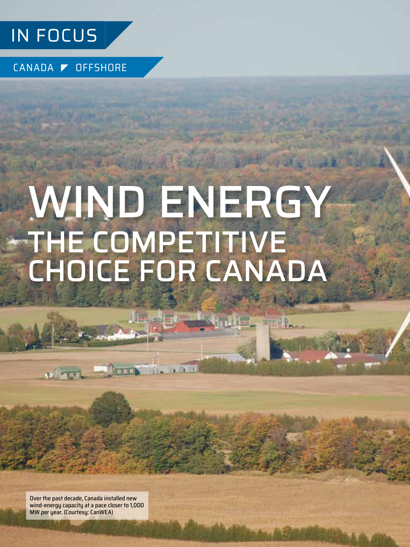

CANADA OFFSHORE

# WIND ENERGY THE COMPETITIVE CHOICE FOR CANADA

Over the past decade, Canada installed new wind-energy capacity at a pace closer to 1,000 MW per year. (Courtesy: CanWEA)

12 SEPTEMBER 2019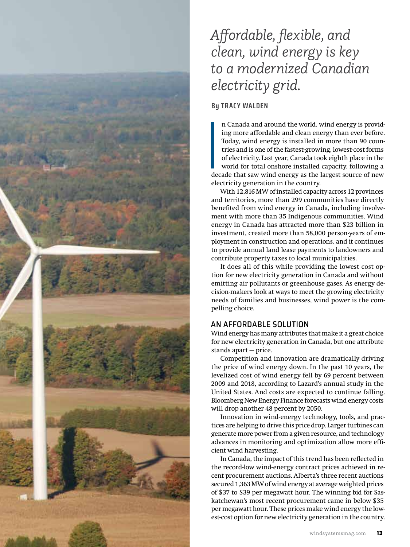

# *Affordable, flexible, and clean, wind energy is key to a modernized Canadian electricity grid.*

## **By TRACY WALDEN**

|<br>|<br>|<br>|<br>|elec n Canada and around the world, wind energy is providing more affordable and clean energy than ever before. Today, wind energy is installed in more than 90 countries and is one of the fastest-growing, lowest-cost forms of electricity. Last year, Canada took eighth place in the world for total onshore installed capacity, following a decade that saw wind energy as the largest source of new electricity generation in the country.

With 12,816 MW of installed capacity across 12 provinces and territories, more than 299 communities have directly benefited from wind energy in Canada, including involvement with more than 35 Indigenous communities. Wind energy in Canada has attracted more than \$23 billion in investment, created more than 58,000 person-years of employment in construction and operations, and it continues to provide annual land lease payments to landowners and contribute property taxes to local municipalities.

It does all of this while providing the lowest cost option for new electricity generation in Canada and without emitting air pollutants or greenhouse gases. As energy decision-makers look at ways to meet the growing electricity needs of families and businesses, wind power is the compelling choice.

# AN AFFORDABLE SOLUTION

Wind energy has many attributes that make it a great choice for new electricity generation in Canada, but one attribute stands apart — price.

Competition and innovation are dramatically driving the price of wind energy down. In the past 10 years, the levelized cost of wind energy fell by 69 percent between 2009 and 2018, according to Lazard's annual study in the United States. And costs are expected to continue falling. Bloomberg New Energy Finance forecasts wind energy costs will drop another 48 percent by 2050.

Innovation in wind-energy technology, tools, and practices are helping to drive this price drop. Larger turbines can generate more power from a given resource, and technology advances in monitoring and optimization allow more efficient wind harvesting.

In Canada, the impact of this trend has been reflected in the record-low wind-energy contract prices achieved in recent procurement auctions. Alberta's three recent auctions secured 1,363 MW of wind energy at average weighted prices of \$37 to \$39 per megawatt hour. The winning bid for Saskatchewan's most recent procurement came in below \$35 per megawatt hour. These prices make wind energy the lowest-cost option for new electricity generation in the country.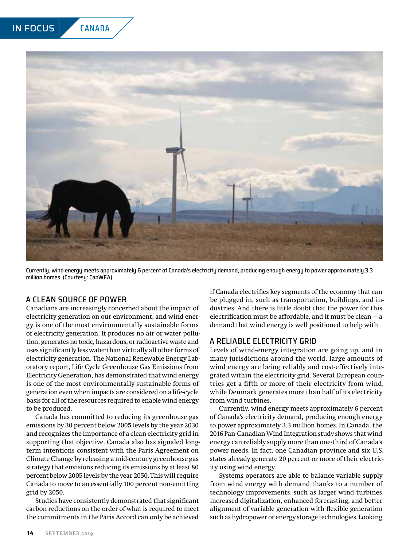

Currently, wind energy meets approximately 6 percent of Canada's electricity demand, producing enough energy to power approximately 3.3 million homes. (Courtesy: CanWEA)

### A CLEAN SOURCE OF POWER

Canadians are increasingly concerned about the impact of electricity generation on our environment, and wind energy is one of the most environmentally sustainable forms of electricity generation. It produces no air or water pollution, generates no toxic, hazardous, or radioactive waste and uses significantly less water than virtually all other forms of electricity generation. The National Renewable Energy Laboratory report, Life Cycle Greenhouse Gas Emissions from Electricity Generation, has demonstrated that wind energy is one of the most environmentally-sustainable forms of generation even when impacts are considered on a life-cycle basis for all of the resources required to enable wind energy to be produced.

Canada has committed to reducing its greenhouse gas emissions by 30 percent below 2005 levels by the year 2030 and recognizes the importance of a clean electricity grid in supporting that objective. Canada also has signaled longterm intentions consistent with the Paris Agreement on Climate Change by releasing a mid-century greenhouse gas strategy that envisions reducing its emissions by at least 80 percent below 2005 levels by the year 2050. This will require Canada to move to an essentially 100 percent non-emitting grid by 2050.

Studies have consistently demonstrated that significant carbon reductions on the order of what is required to meet the commitments in the Paris Accord can only be achieved if Canada electrifies key segments of the economy that can be plugged in, such as transportation, buildings, and industries. And there is little doubt that the power for this electrification must be affordable, and it must be clean — a demand that wind energy is well positioned to help with.

### A RELIABLE ELECTRICITY GRID

Levels of wind-energy integration are going up, and in many jurisdictions around the world, large amounts of wind energy are being reliably and cost-effectively integrated within the electricity grid. Several European countries get a fifth or more of their electricity from wind, while Denmark generates more than half of its electricity from wind turbines.

Currently, wind energy meets approximately 6 percent of Canada's electricity demand, producing enough energy to power approximately 3.3 million homes. In Canada, the 2016 Pan-Canadian Wind Integration study shows that wind energy can reliably supply more than one-third of Canada's power needs. In fact, one Canadian province and six U.S. states already generate 20 percent or more of their electricity using wind energy.

Systems operators are able to balance variable supply from wind energy with demand thanks to a number of technology improvements, such as larger wind turbines, increased digitalization, enhanced forecasting, and better alignment of variable generation with flexible generation such as hydropower or energy storage technologies. Looking